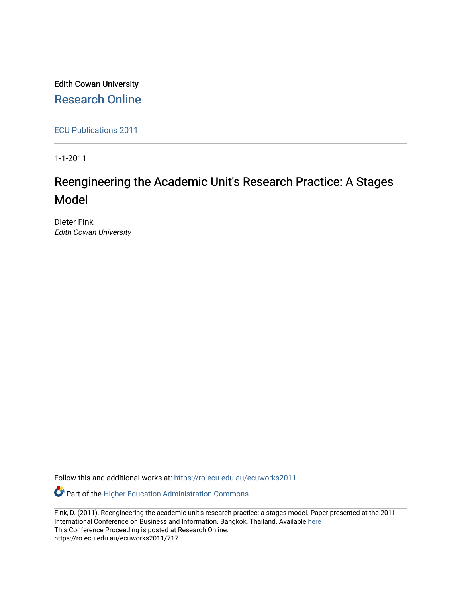Edith Cowan University [Research Online](https://ro.ecu.edu.au/) 

[ECU Publications 2011](https://ro.ecu.edu.au/ecuworks2011)

1-1-2011

# Reengineering the Academic Unit's Research Practice: A Stages Model

Dieter Fink Edith Cowan University

Follow this and additional works at: [https://ro.ecu.edu.au/ecuworks2011](https://ro.ecu.edu.au/ecuworks2011?utm_source=ro.ecu.edu.au%2Fecuworks2011%2F717&utm_medium=PDF&utm_campaign=PDFCoverPages) 

Part of the [Higher Education Administration Commons](http://network.bepress.com/hgg/discipline/791?utm_source=ro.ecu.edu.au%2Fecuworks2011%2F717&utm_medium=PDF&utm_campaign=PDFCoverPages) 

Fink, D. (2011). Reengineering the academic unit's research practice: a stages model. Paper presented at the 2011 International Conference on Business and Information. Bangkok, Thailand. Available [here](http://bai-conference.org/BAI2011.html)  This Conference Proceeding is posted at Research Online. https://ro.ecu.edu.au/ecuworks2011/717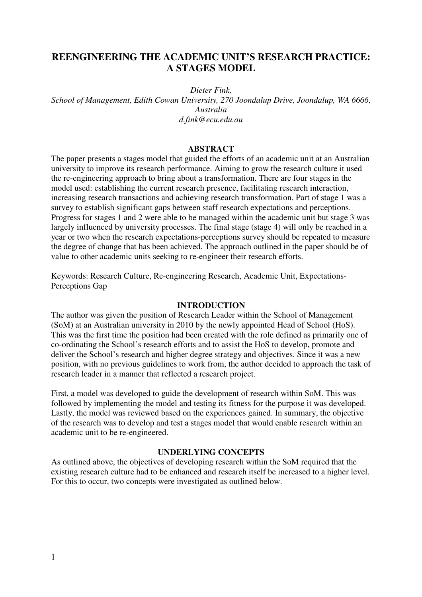# **REENGINEERING THE ACADEMIC UNIT'S RESEARCH PRACTICE: A STAGES MODEL**

*Dieter Fink, School of Management, Edith Cowan University, 270 Joondalup Drive, Joondalup, WA 6666, Australia d.fink@ecu.edu.au* 

#### **ABSTRACT**

The paper presents a stages model that guided the efforts of an academic unit at an Australian university to improve its research performance. Aiming to grow the research culture it used the re-engineering approach to bring about a transformation. There are four stages in the model used: establishing the current research presence, facilitating research interaction, increasing research transactions and achieving research transformation. Part of stage 1 was a survey to establish significant gaps between staff research expectations and perceptions. Progress for stages 1 and 2 were able to be managed within the academic unit but stage 3 was largely influenced by university processes. The final stage (stage 4) will only be reached in a year or two when the research expectations-perceptions survey should be repeated to measure the degree of change that has been achieved. The approach outlined in the paper should be of value to other academic units seeking to re-engineer their research efforts.

Keywords: Research Culture, Re-engineering Research, Academic Unit, Expectations-Perceptions Gap

#### **INTRODUCTION**

The author was given the position of Research Leader within the School of Management (SoM) at an Australian university in 2010 by the newly appointed Head of School (HoS). This was the first time the position had been created with the role defined as primarily one of co-ordinating the School's research efforts and to assist the HoS to develop, promote and deliver the School's research and higher degree strategy and objectives. Since it was a new position, with no previous guidelines to work from, the author decided to approach the task of research leader in a manner that reflected a research project.

First, a model was developed to guide the development of research within SoM. This was followed by implementing the model and testing its fitness for the purpose it was developed. Lastly, the model was reviewed based on the experiences gained. In summary, the objective of the research was to develop and test a stages model that would enable research within an academic unit to be re-engineered.

#### **UNDERLYING CONCEPTS**

As outlined above, the objectives of developing research within the SoM required that the existing research culture had to be enhanced and research itself be increased to a higher level. For this to occur, two concepts were investigated as outlined below.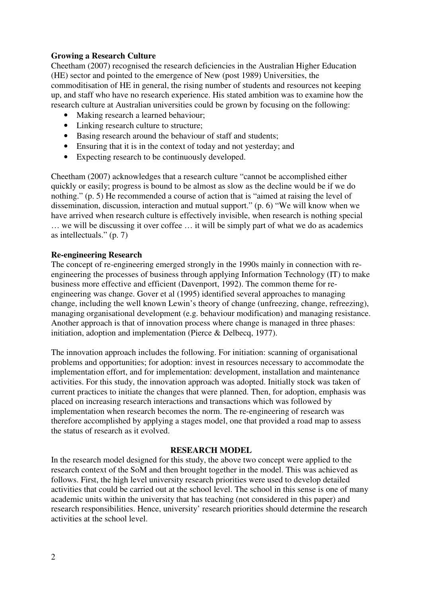### **Growing a Research Culture**

Cheetham (2007) recognised the research deficiencies in the Australian Higher Education (HE) sector and pointed to the emergence of New (post 1989) Universities, the commoditisation of HE in general, the rising number of students and resources not keeping up, and staff who have no research experience. His stated ambition was to examine how the research culture at Australian universities could be grown by focusing on the following:

- Making research a learned behaviour;
- Linking research culture to structure;
- Basing research around the behaviour of staff and students;
- Ensuring that it is in the context of today and not yesterday; and
- Expecting research to be continuously developed.

Cheetham (2007) acknowledges that a research culture "cannot be accomplished either quickly or easily; progress is bound to be almost as slow as the decline would be if we do nothing." (p. 5) He recommended a course of action that is "aimed at raising the level of dissemination, discussion, interaction and mutual support." (p. 6) "We will know when we have arrived when research culture is effectively invisible, when research is nothing special … we will be discussing it over coffee … it will be simply part of what we do as academics as intellectuals." (p. 7)

### **Re-engineering Research**

The concept of re-engineering emerged strongly in the 1990s mainly in connection with reengineering the processes of business through applying Information Technology (IT) to make business more effective and efficient (Davenport, 1992). The common theme for reengineering was change. Gover et al (1995) identified several approaches to managing change, including the well known Lewin's theory of change (unfreezing, change, refreezing), managing organisational development (e.g. behaviour modification) and managing resistance. Another approach is that of innovation process where change is managed in three phases: initiation, adoption and implementation (Pierce & Delbecq, 1977).

The innovation approach includes the following. For initiation: scanning of organisational problems and opportunities; for adoption: invest in resources necessary to accommodate the implementation effort, and for implementation: development, installation and maintenance activities. For this study, the innovation approach was adopted. Initially stock was taken of current practices to initiate the changes that were planned. Then, for adoption, emphasis was placed on increasing research interactions and transactions which was followed by implementation when research becomes the norm. The re-engineering of research was therefore accomplished by applying a stages model, one that provided a road map to assess the status of research as it evolved.

#### **RESEARCH MODEL**

In the research model designed for this study, the above two concept were applied to the research context of the SoM and then brought together in the model. This was achieved as follows. First, the high level university research priorities were used to develop detailed activities that could be carried out at the school level. The school in this sense is one of many academic units within the university that has teaching (not considered in this paper) and research responsibilities. Hence, university' research priorities should determine the research activities at the school level.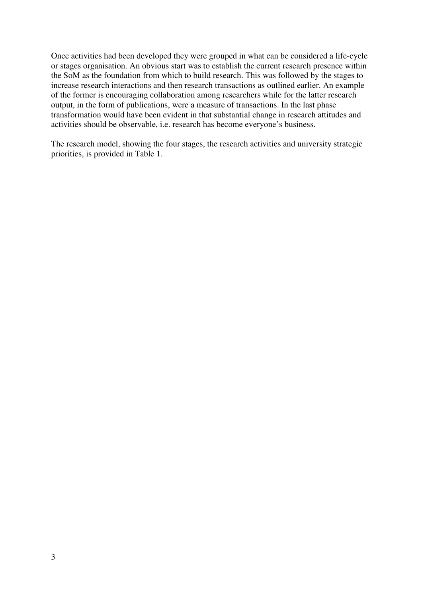Once activities had been developed they were grouped in what can be considered a life-cycle or stages organisation. An obvious start was to establish the current research presence within the SoM as the foundation from which to build research. This was followed by the stages to increase research interactions and then research transactions as outlined earlier. An example of the former is encouraging collaboration among researchers while for the latter research output, in the form of publications, were a measure of transactions. In the last phase transformation would have been evident in that substantial change in research attitudes and activities should be observable, i.e. research has become everyone's business.

The research model, showing the four stages, the research activities and university strategic priorities, is provided in Table 1.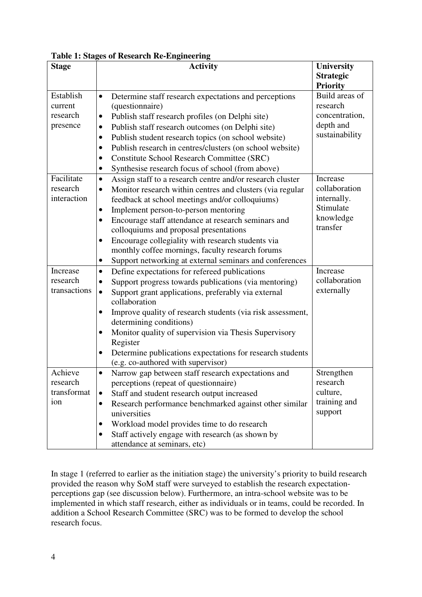| <b>Stage</b> | <b>Activity</b>                                                                     | University              |
|--------------|-------------------------------------------------------------------------------------|-------------------------|
|              |                                                                                     | <b>Strategic</b>        |
|              |                                                                                     | Priority                |
| Establish    | Determine staff research expectations and perceptions<br>$\bullet$                  | Build areas of          |
| current      | (questionnaire)                                                                     | research                |
| research     | Publish staff research profiles (on Delphi site)                                    | concentration,          |
| presence     | Publish staff research outcomes (on Delphi site)<br>$\bullet$                       | depth and               |
|              | Publish student research topics (on school website)<br>٠                            | sustainability          |
|              | Publish research in centres/clusters (on school website)<br>$\bullet$               |                         |
|              | Constitute School Research Committee (SRC)                                          |                         |
|              | Synthesise research focus of school (from above)<br>٠                               |                         |
| Facilitate   | Assign staff to a research centre and/or research cluster<br>$\bullet$              | Increase                |
| research     | Monitor research within centres and clusters (via regular<br>$\bullet$              | collaboration           |
| interaction  | feedback at school meetings and/or colloquiums)                                     | internally.             |
|              | Implement person-to-person mentoring<br>$\bullet$                                   | Stimulate               |
|              | Encourage staff attendance at research seminars and<br>$\bullet$                    | knowledge               |
|              | colloquiums and proposal presentations                                              | transfer                |
|              | Encourage collegiality with research students via<br>$\bullet$                      |                         |
|              | monthly coffee mornings, faculty research forums                                    |                         |
|              | Support networking at external seminars and conferences<br>$\bullet$                |                         |
| Increase     | Define expectations for refereed publications<br>$\bullet$                          | Increase                |
| research     | Support progress towards publications (via mentoring)<br>$\bullet$                  | collaboration           |
| transactions | Support grant applications, preferably via external<br>$\bullet$<br>collaboration   | externally              |
|              | Improve quality of research students (via risk assessment,<br>$\bullet$             |                         |
|              | determining conditions)                                                             |                         |
|              | Monitor quality of supervision via Thesis Supervisory                               |                         |
|              | Register                                                                            |                         |
|              | Determine publications expectations for research students                           |                         |
|              | (e.g. co-authored with supervisor)                                                  |                         |
| Achieve      | Narrow gap between staff research expectations and<br>$\bullet$                     | Strengthen              |
| research     | perceptions (repeat of questionnaire)                                               | research                |
| transformat  | Staff and student research output increased<br>$\bullet$                            | culture,                |
| ion          | Research performance benchmarked against other similar<br>$\bullet$<br>universities | training and<br>support |
|              | Workload model provides time to do research                                         |                         |
|              | Staff actively engage with research (as shown by                                    |                         |
|              | attendance at seminars, etc)                                                        |                         |

**Table 1: Stages of Research Re-Engineering** 

In stage 1 (referred to earlier as the initiation stage) the university's priority to build research provided the reason why SoM staff were surveyed to establish the research expectationperceptions gap (see discussion below). Furthermore, an intra-school website was to be implemented in which staff research, either as individuals or in teams, could be recorded. In addition a School Research Committee (SRC) was to be formed to develop the school research focus.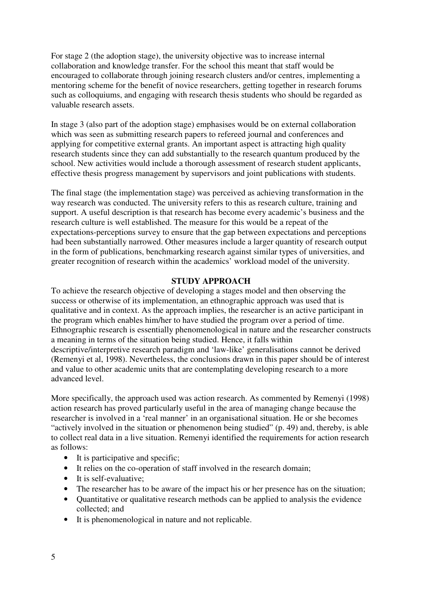For stage 2 (the adoption stage), the university objective was to increase internal collaboration and knowledge transfer. For the school this meant that staff would be encouraged to collaborate through joining research clusters and/or centres, implementing a mentoring scheme for the benefit of novice researchers, getting together in research forums such as colloquiums, and engaging with research thesis students who should be regarded as valuable research assets.

In stage 3 (also part of the adoption stage) emphasises would be on external collaboration which was seen as submitting research papers to refereed journal and conferences and applying for competitive external grants. An important aspect is attracting high quality research students since they can add substantially to the research quantum produced by the school. New activities would include a thorough assessment of research student applicants, effective thesis progress management by supervisors and joint publications with students.

The final stage (the implementation stage) was perceived as achieving transformation in the way research was conducted. The university refers to this as research culture, training and support. A useful description is that research has become every academic's business and the research culture is well established. The measure for this would be a repeat of the expectations-perceptions survey to ensure that the gap between expectations and perceptions had been substantially narrowed. Other measures include a larger quantity of research output in the form of publications, benchmarking research against similar types of universities, and greater recognition of research within the academics' workload model of the university.

#### **STUDY APPROACH**

To achieve the research objective of developing a stages model and then observing the success or otherwise of its implementation, an ethnographic approach was used that is qualitative and in context. As the approach implies, the researcher is an active participant in the program which enables him/her to have studied the program over a period of time. Ethnographic research is essentially phenomenological in nature and the researcher constructs a meaning in terms of the situation being studied. Hence, it falls within descriptive/interpretive research paradigm and 'law-like' generalisations cannot be derived (Remenyi et al, 1998). Nevertheless, the conclusions drawn in this paper should be of interest and value to other academic units that are contemplating developing research to a more advanced level.

More specifically, the approach used was action research. As commented by Remenyi (1998) action research has proved particularly useful in the area of managing change because the researcher is involved in a 'real manner' in an organisational situation. He or she becomes "actively involved in the situation or phenomenon being studied" (p. 49) and, thereby, is able to collect real data in a live situation. Remenyi identified the requirements for action research as follows:

- It is participative and specific;
- It relies on the co-operation of staff involved in the research domain;
- It is self-evaluative:
- The researcher has to be aware of the impact his or her presence has on the situation;
- Quantitative or qualitative research methods can be applied to analysis the evidence collected; and
- It is phenomenological in nature and not replicable.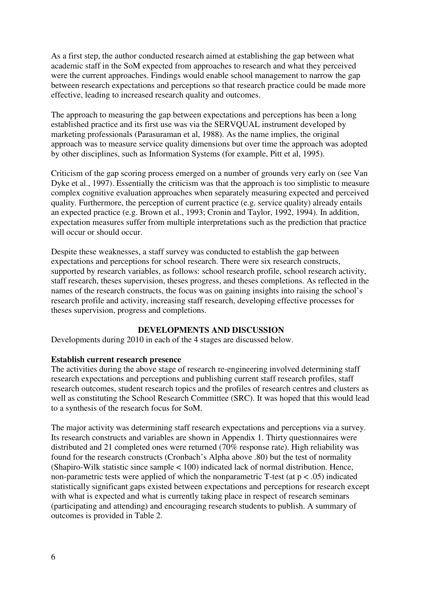As a first step, the author conducted research aimed at establishing the gap between what academic staff in the SoM expected from approaches to research and what they perceived were the current approaches. Findings would enable school management to narrow the gap between research expectations and perceptions so that research practice could be made more effective, leading to increased research quality and outcomes.

The approach to measuring the gap between expectations and perceptions has been a long established practice and its first use was via the SERVQUAL instrument developed by marketing professionals (Parasuraman et al, 1988). As the name implies, the original approach was to measure service quality dimensions but over time the approach was adopted by other disciplines, such as Information Systems (for example, Pitt et al, 1995).

Criticism of the gap scoring process emerged on a number of grounds very early on (see Van Dyke et al., 1997). Essentially the criticism was that the approach is too simplistic to measure complex cognitive evaluation approaches when separately measuring expected and perceived quality. Furthermore, the perception of current practice (e.g. service quality) already entails an expected practice (e.g. Brown et al., 1993; Cronin and Taylor, 1992, 1994). In addition, expectation measures suffer from multiple interpretations such as the prediction that practice will occur or should occur.

Despite these weaknesses, a staff survey was conducted to establish the gap between expectations and perceptions for school research. There were six research constructs, supported by research variables, as follows: school research profile, school research activity, staff research, theses supervision, theses progress, and theses completions. As reflected in the names of the research constructs, the focus was on gaining insights into raising the school's research profile and activity, increasing staff research, developing effective processes for theses supervision, progress and completions.

#### **DEVELOPMENTS AND DISCUSSION**

Developments during 2010 in each of the 4 stages are discussed below.

## **Establish current research presence**

The activities during the above stage of research re-engineering involved determining staff research expectations and perceptions and publishing current staff research profiles, staff research outcomes, student research topics and the profiles of research centres and clusters as well as constituting the School Research Committee (SRC). It was hoped that this would lead to a synthesis of the research focus for SoM.

The major activity was determining staff research expectations and perceptions via a survey. Its research constructs and variables are shown in Appendix 1. Thirty questionnaires were distributed and 21 completed ones were returned (70% response rate). High reliability was found for the research constructs (Cronbach's Alpha above .80) but the test of normality (Shapiro-Wilk statistic since sample < 100) indicated lack of normal distribution. Hence, non-parametric tests were applied of which the nonparametric T-test (at  $p < .05$ ) indicated statistically significant gaps existed between expectations and perceptions for research except with what is expected and what is currently taking place in respect of research seminars (participating and attending) and encouraging research students to publish. A summary of outcomes is provided in Table 2.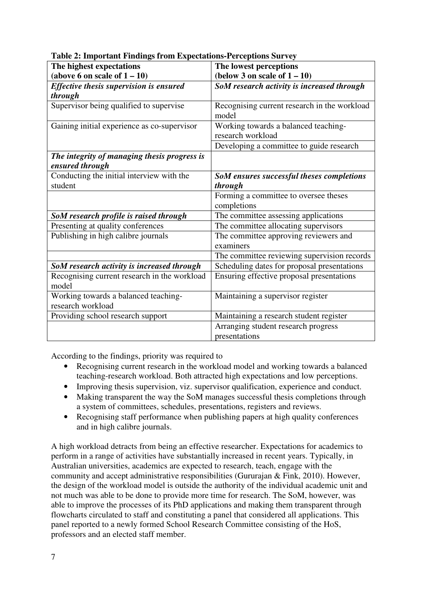| The highest expectations                                        | The lowest perceptions                                |  |  |  |  |  |  |
|-----------------------------------------------------------------|-------------------------------------------------------|--|--|--|--|--|--|
| (above 6 on scale of $1 - 10$ )                                 | (below 3 on scale of $1 - 10$ )                       |  |  |  |  |  |  |
| Effective thesis supervision is ensured                         | SoM research activity is increased through            |  |  |  |  |  |  |
| through                                                         |                                                       |  |  |  |  |  |  |
| Supervisor being qualified to supervise                         | Recognising current research in the workload<br>model |  |  |  |  |  |  |
| Gaining initial experience as co-supervisor                     | Working towards a balanced teaching-                  |  |  |  |  |  |  |
|                                                                 | research workload                                     |  |  |  |  |  |  |
|                                                                 | Developing a committee to guide research              |  |  |  |  |  |  |
| The integrity of managing thesis progress is<br>ensured through |                                                       |  |  |  |  |  |  |
| Conducting the initial interview with the                       | SoM ensures successful theses completions             |  |  |  |  |  |  |
| student                                                         | through                                               |  |  |  |  |  |  |
|                                                                 | Forming a committee to oversee theses<br>completions  |  |  |  |  |  |  |
| SoM research profile is raised through                          | The committee assessing applications                  |  |  |  |  |  |  |
| Presenting at quality conferences                               | The committee allocating supervisors                  |  |  |  |  |  |  |
| Publishing in high calibre journals                             | The committee approving reviewers and<br>examiners    |  |  |  |  |  |  |
|                                                                 | The committee reviewing supervision records           |  |  |  |  |  |  |
| SoM research activity is increased through                      | Scheduling dates for proposal presentations           |  |  |  |  |  |  |
| Recognising current research in the workload<br>model           | Ensuring effective proposal presentations             |  |  |  |  |  |  |
| Working towards a balanced teaching-<br>research workload       | Maintaining a supervisor register                     |  |  |  |  |  |  |
| Providing school research support                               | Maintaining a research student register               |  |  |  |  |  |  |
|                                                                 | Arranging student research progress                   |  |  |  |  |  |  |
|                                                                 | presentations                                         |  |  |  |  |  |  |

**Table 2: Important Findings from Expectations-Perceptions Survey** 

According to the findings, priority was required to

- Recognising current research in the workload model and working towards a balanced teaching-research workload. Both attracted high expectations and low perceptions.
- Improving thesis supervision, viz. supervisor qualification, experience and conduct.
- Making transparent the way the SoM manages successful thesis completions through a system of committees, schedules, presentations, registers and reviews.
- Recognising staff performance when publishing papers at high quality conferences and in high calibre journals.

A high workload detracts from being an effective researcher. Expectations for academics to perform in a range of activities have substantially increased in recent years. Typically, in Australian universities, academics are expected to research, teach, engage with the community and accept administrative responsibilities (Gururajan & Fink, 2010). However, the design of the workload model is outside the authority of the individual academic unit and not much was able to be done to provide more time for research. The SoM, however, was able to improve the processes of its PhD applications and making them transparent through flowcharts circulated to staff and constituting a panel that considered all applications. This panel reported to a newly formed School Research Committee consisting of the HoS, professors and an elected staff member.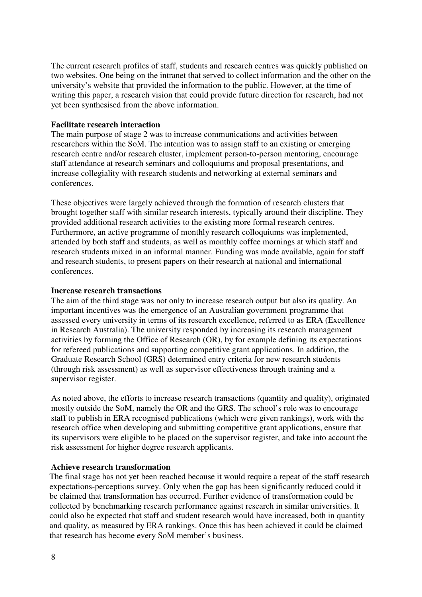The current research profiles of staff, students and research centres was quickly published on two websites. One being on the intranet that served to collect information and the other on the university's website that provided the information to the public. However, at the time of writing this paper, a research vision that could provide future direction for research, had not yet been synthesised from the above information.

#### **Facilitate research interaction**

The main purpose of stage 2 was to increase communications and activities between researchers within the SoM. The intention was to assign staff to an existing or emerging research centre and/or research cluster, implement person-to-person mentoring, encourage staff attendance at research seminars and colloquiums and proposal presentations, and increase collegiality with research students and networking at external seminars and conferences.

These objectives were largely achieved through the formation of research clusters that brought together staff with similar research interests, typically around their discipline. They provided additional research activities to the existing more formal research centres. Furthermore, an active programme of monthly research colloquiums was implemented, attended by both staff and students, as well as monthly coffee mornings at which staff and research students mixed in an informal manner. Funding was made available, again for staff and research students, to present papers on their research at national and international conferences.

#### **Increase research transactions**

The aim of the third stage was not only to increase research output but also its quality. An important incentives was the emergence of an Australian government programme that assessed every university in terms of its research excellence, referred to as ERA (Excellence in Research Australia). The university responded by increasing its research management activities by forming the Office of Research (OR), by for example defining its expectations for refereed publications and supporting competitive grant applications. In addition, the Graduate Research School (GRS) determined entry criteria for new research students (through risk assessment) as well as supervisor effectiveness through training and a supervisor register.

As noted above, the efforts to increase research transactions (quantity and quality), originated mostly outside the SoM, namely the OR and the GRS. The school's role was to encourage staff to publish in ERA recognised publications (which were given rankings), work with the research office when developing and submitting competitive grant applications, ensure that its supervisors were eligible to be placed on the supervisor register, and take into account the risk assessment for higher degree research applicants.

#### **Achieve research transformation**

The final stage has not yet been reached because it would require a repeat of the staff research expectations-perceptions survey. Only when the gap has been significantly reduced could it be claimed that transformation has occurred. Further evidence of transformation could be collected by benchmarking research performance against research in similar universities. It could also be expected that staff and student research would have increased, both in quantity and quality, as measured by ERA rankings. Once this has been achieved it could be claimed that research has become every SoM member's business.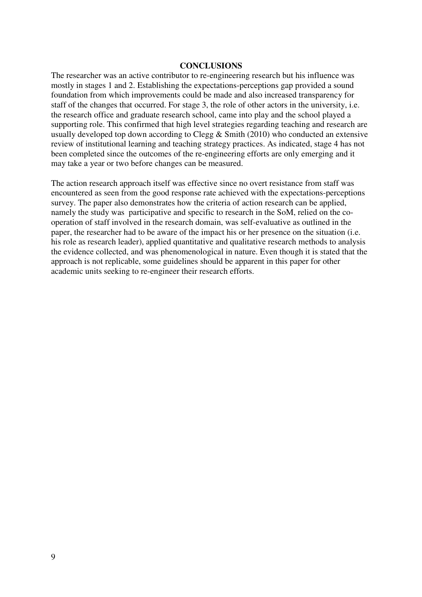#### **CONCLUSIONS**

The researcher was an active contributor to re-engineering research but his influence was mostly in stages 1 and 2. Establishing the expectations-perceptions gap provided a sound foundation from which improvements could be made and also increased transparency for staff of the changes that occurred. For stage 3, the role of other actors in the university, i.e. the research office and graduate research school, came into play and the school played a supporting role. This confirmed that high level strategies regarding teaching and research are usually developed top down according to Clegg & Smith (2010) who conducted an extensive review of institutional learning and teaching strategy practices. As indicated, stage 4 has not been completed since the outcomes of the re-engineering efforts are only emerging and it may take a year or two before changes can be measured.

The action research approach itself was effective since no overt resistance from staff was encountered as seen from the good response rate achieved with the expectations-perceptions survey. The paper also demonstrates how the criteria of action research can be applied, namely the study was participative and specific to research in the SoM, relied on the cooperation of staff involved in the research domain, was self-evaluative as outlined in the paper, the researcher had to be aware of the impact his or her presence on the situation (i.e. his role as research leader), applied quantitative and qualitative research methods to analysis the evidence collected, and was phenomenological in nature. Even though it is stated that the approach is not replicable, some guidelines should be apparent in this paper for other academic units seeking to re-engineer their research efforts.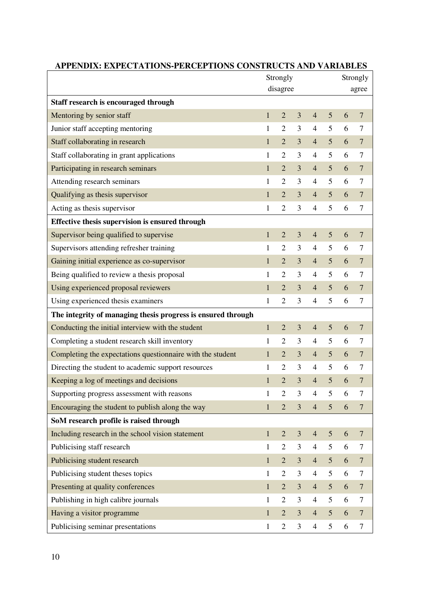|                                                              | Strongly<br>disagree |                |                |                          |                 | Strongly<br>agree |                  |  |  |
|--------------------------------------------------------------|----------------------|----------------|----------------|--------------------------|-----------------|-------------------|------------------|--|--|
| Staff research is encouraged through                         |                      |                |                |                          |                 |                   |                  |  |  |
| Mentoring by senior staff                                    | $\mathbf{1}$         | $\overline{2}$ | 3              | $\overline{4}$           | 5               | 6                 | $\overline{7}$   |  |  |
| Junior staff accepting mentoring                             | 1                    | $\overline{2}$ | 3              | $\overline{4}$           | 5               | 6                 | 7                |  |  |
| Staff collaborating in research                              | $\mathbf{1}$         | $\overline{2}$ | $\mathfrak{Z}$ | $\overline{4}$           | 5               | 6                 | $\overline{7}$   |  |  |
| Staff collaborating in grant applications                    | 1                    | $\overline{2}$ | 3              | $\overline{4}$           | 5               | 6                 | 7                |  |  |
| Participating in research seminars                           | $\mathbf{1}$         | $\overline{2}$ | $\mathfrak{Z}$ | $\overline{4}$           | 5               | 6                 | $\overline{7}$   |  |  |
| Attending research seminars                                  | 1                    | $\overline{2}$ | 3              | $\overline{4}$           | 5               | 6                 | 7                |  |  |
| Qualifying as thesis supervisor                              | 1                    | $\overline{2}$ | 3              | $\overline{4}$           | 5               | 6                 | 7                |  |  |
| Acting as thesis supervisor                                  | $\mathbf{1}$         | $\overline{2}$ | 3              | 4                        | 5               | 6                 | 7                |  |  |
| Effective thesis supervision is ensured through              |                      |                |                |                          |                 |                   |                  |  |  |
| Supervisor being qualified to supervise                      | $\mathbf{1}$         | $\overline{2}$ | 3              | $\overline{4}$           | 5               | 6                 | $\overline{7}$   |  |  |
| Supervisors attending refresher training                     | 1                    | $\overline{2}$ | 3              | 4                        | 5               | 6                 | 7                |  |  |
| Gaining initial experience as co-supervisor                  | $\mathbf{1}$         | $\overline{2}$ | $\mathfrak{Z}$ | $\overline{4}$           | 5               | 6                 | $\overline{7}$   |  |  |
| Being qualified to review a thesis proposal                  | 1                    | $\overline{2}$ | 3              | $\overline{4}$           | 5               | 6                 | 7                |  |  |
| Using experienced proposal reviewers                         | 1                    | $\overline{2}$ | 3              | $\overline{4}$           | 5               | 6                 | 7                |  |  |
| Using experienced thesis examiners                           | 1                    | $\overline{2}$ | 3              | $\overline{4}$           | 5               | 6                 | $\tau$           |  |  |
| The integrity of managing thesis progress is ensured through |                      |                |                |                          |                 |                   |                  |  |  |
| Conducting the initial interview with the student            | $\mathbf{1}$         | $\overline{2}$ | 3              | $\overline{4}$           | 5               | 6                 | $\overline{7}$   |  |  |
| Completing a student research skill inventory                | 1                    | $\overline{2}$ | 3              | $\overline{4}$           | 5               | 6                 | 7                |  |  |
| Completing the expectations questionnaire with the student   | 1                    | $\overline{2}$ | $\mathfrak{Z}$ | $\overline{4}$           | 5               | 6                 | $\overline{7}$   |  |  |
| Directing the student to academic support resources          | 1                    | $\overline{2}$ | 3              | 4                        | 5               | 6                 | 7                |  |  |
| Keeping a log of meetings and decisions                      | $\mathbf{1}$         | $\overline{2}$ | 3              | $\overline{4}$           | 5               | 6                 | $\overline{7}$   |  |  |
| Supporting progress assessment with reasons                  | 1                    | $\overline{2}$ | 3              | $\overline{4}$           | 5               | 6                 | 7                |  |  |
| Encouraging the student to publish along the way             | $\mathbf{1}$         | $\overline{2}$ | 3              | $\overline{4}$           | 5               | 6                 | $\overline{7}$   |  |  |
| SoM research profile is raised through                       |                      |                |                |                          |                 |                   |                  |  |  |
| Including research in the school vision statement            | $\mathbf{1}$         | $\overline{2}$ | 3              | $\overline{4}$           | $\mathfrak{S}$  | 6                 | $\overline{7}$   |  |  |
| Publicising staff research                                   | $\mathbf{1}$         | $\overline{2}$ | 3              | $\overline{4}$           | 5               | 6                 | 7                |  |  |
| Publicising student research                                 | $\mathbf{1}$         | $\overline{2}$ | $\mathfrak{Z}$ | $\overline{4}$           | 5               | 6                 | $\boldsymbol{7}$ |  |  |
| Publicising student theses topics                            | $\mathbf{1}$         | $\overline{2}$ | 3              | $\overline{4}$           | 5               | 6                 | 7                |  |  |
| Presenting at quality conferences                            |                      | $\overline{2}$ | 3              | $\overline{4}$           | $\mathfrak{S}$  | 6                 | $\overline{7}$   |  |  |
| Publishing in high calibre journals                          | $\mathbf{1}$         | $\overline{2}$ | 3              | $\overline{4}$           | 5               | 6                 | 7                |  |  |
| Having a visitor programme                                   | 1                    | $\overline{2}$ | $\mathfrak{Z}$ | $\overline{4}$           | $5\overline{)}$ | 6                 | $\overline{7}$   |  |  |
| Publicising seminar presentations                            | $\mathbf{1}$         | $\overline{2}$ | 3              | $\overline{\mathcal{L}}$ | 5               | 6                 | $\tau$           |  |  |

| <b>APPENDIX: EXPECTATIONS-PERCEPTIONS CONSTRUCTS AND VARIABLES</b> |  |
|--------------------------------------------------------------------|--|
|--------------------------------------------------------------------|--|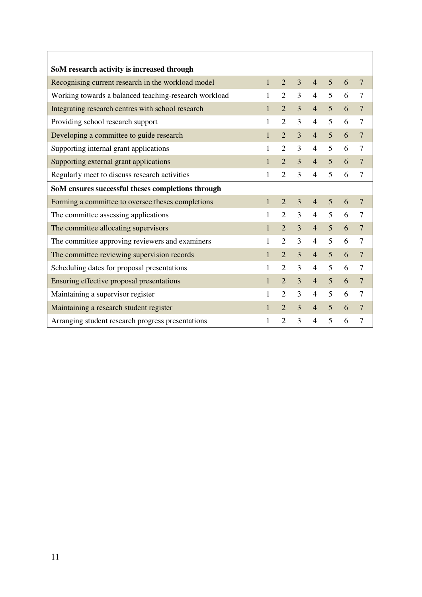| SoM research activity is increased through            |              |                |                |                |                 |   |                |
|-------------------------------------------------------|--------------|----------------|----------------|----------------|-----------------|---|----------------|
| Recognising current research in the workload model    | $\mathbf{1}$ | $\overline{2}$ | $\overline{3}$ | $\overline{4}$ | 5               | 6 | $\overline{7}$ |
|                                                       |              |                |                |                |                 |   |                |
| Working towards a balanced teaching-research workload | 1            | $\overline{2}$ | 3              | $\overline{4}$ | 5               | 6 | $\overline{7}$ |
| Integrating research centres with school research     | $\mathbf{1}$ | $\overline{2}$ | 3              | $\overline{4}$ | 5               | 6 | $\overline{7}$ |
| Providing school research support                     | 1            | $\overline{2}$ | 3              | $\overline{4}$ | 5               | 6 | $\tau$         |
| Developing a committee to guide research              | $\mathbf{1}$ | $\overline{2}$ | 3              | $\overline{4}$ | $5\overline{)}$ | 6 | $\overline{7}$ |
| Supporting internal grant applications                | 1            | $\overline{2}$ | 3              | $\overline{4}$ | 5               | 6 | $\overline{7}$ |
| Supporting external grant applications                | $\mathbf{1}$ | $\overline{2}$ | 3              | $\overline{4}$ | $\overline{5}$  | 6 | $\overline{7}$ |
| Regularly meet to discuss research activities         | 1            | $\overline{2}$ | 3              | $\overline{4}$ | 5               | 6 | $\overline{7}$ |
| SoM ensures successful theses completions through     |              |                |                |                |                 |   |                |
| Forming a committee to oversee theses completions     | $\mathbf{1}$ | $\overline{2}$ | $\overline{3}$ | $\overline{4}$ | 5               | 6 | $\overline{7}$ |
| The committee assessing applications                  | 1            | $\overline{2}$ | 3              | $\overline{4}$ | 5               | 6 | $\overline{7}$ |
| The committee allocating supervisors                  | $\mathbf{1}$ | $\overline{2}$ | 3              | $\overline{4}$ | $\overline{5}$  | 6 | $\overline{7}$ |
| The committee approving reviewers and examiners       | 1            | $\overline{2}$ | 3              | $\overline{4}$ | 5               | 6 | $\overline{7}$ |
| The committee reviewing supervision records           | $\mathbf{1}$ | $\overline{2}$ | $\overline{3}$ | $\overline{4}$ | $5\overline{)}$ | 6 | $\overline{7}$ |
| Scheduling dates for proposal presentations           | 1            | $\overline{2}$ | 3              | $\overline{4}$ | 5               | 6 | 7              |
| Ensuring effective proposal presentations             | $\mathbf{1}$ | $\overline{2}$ | $\overline{3}$ | $\overline{4}$ | $5\overline{)}$ | 6 | $\overline{7}$ |
| Maintaining a supervisor register                     | 1            | $\overline{2}$ | 3              | $\overline{4}$ | 5               | 6 | 7              |
| Maintaining a research student register               | $\mathbf{1}$ | $\overline{2}$ | 3              | $\overline{4}$ | 5               | 6 | $\overline{7}$ |
| Arranging student research progress presentations     |              | $\overline{2}$ | 3              | $\overline{4}$ | 5               | 6 | $\overline{7}$ |